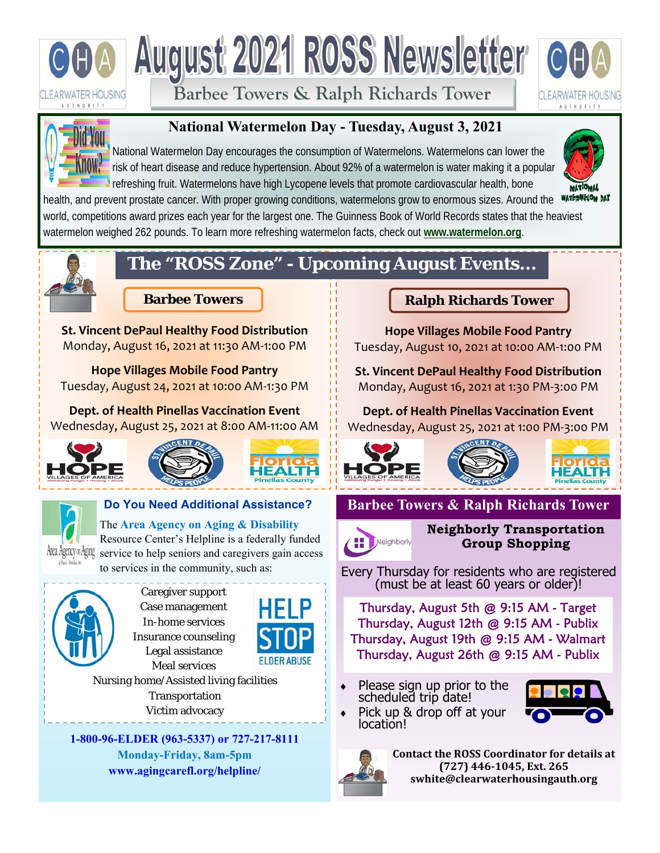

**Barbee Towers & Ralph Richards Tower** 





## **National Watermelon Day - Tuesday, August 3, 2021**

National Watermelon Day encourages the consumption of Watermelons. Watermelons can lower the risk of heart disease and reduce hypertension. About 92% of a watermelon is water making it a popular refreshing fruit. Watermelons have high Lycopene levels that promote cardiovascular health, bone



health, and prevent prostate cancer. With proper growing conditions, watermelons grow to enormous sizes. Around the water west world, competitions award prizes each year for the largest one. The Guinness Book of World Records states that the heaviest watermelon weighed 262 pounds. To learn more refreshing watermelon facts, check out **www.watermelon.org**.



## **The "ROSS Zone" - Upcoming August Events...**

**St. Vincent DePaul Healthy Food Distribution**  Monday, August 16, 2021 at 11:30 AM‐1:00 PM

**Hope Villages Mobile Food Pantry**  Tuesday, August 24, 2021 at 10:00 AM‐1:30 PM

**Dept. of Health Pinellas Vaccination Event** Wednesday, August 25, 2021 at 8:00 AM‐11:00 AM











Caregiver support Case management In-home services Insurance counseling Legal assistance Meal services



Nursing home/Assisted living facilities Transportation Victim advocacy

**1-800-96-ELDER (963-5337) or 727-217-8111 Monday-Friday, 8am-5pm www.agingcarefl.org/helpline/** 

## **Barbee Towers Ralph Richards Tower**

**Hope Villages Mobile Food Pantry**  Tuesday, August 10, 2021 at 10:00 AM‐1:00 PM

**St. Vincent DePaul Healthy Food Distribution**  Monday, August 16, 2021 at 1:30 PM‐3:00 PM

**Dept. of Health Pinellas Vaccination Event** Wednesday, August 25, 2021 at 1:00 PM‐3:00 PM



**Barbee Towers & Ralph Richards Tower** 



**Neighborly Transportation Group Shopping** 

Every Thursday for residents who are registered (must be at least 60 years or older)!

Thursday, August 5th @ 9:15 AM - Target Thursday, August 12th @ 9:15 AM - Publix Thursday, August 19th @ 9:15 AM - Walmart Thursday, August 26th @ 9:15 AM - Publix

 Please sign up prior to the scheduled trip date!



Pick up & drop off at your<br>location!



**Contact the ROSS Coordinator for details at (727) 446‐1045, Ext. 265 swhite@clearwaterhousingauth.org**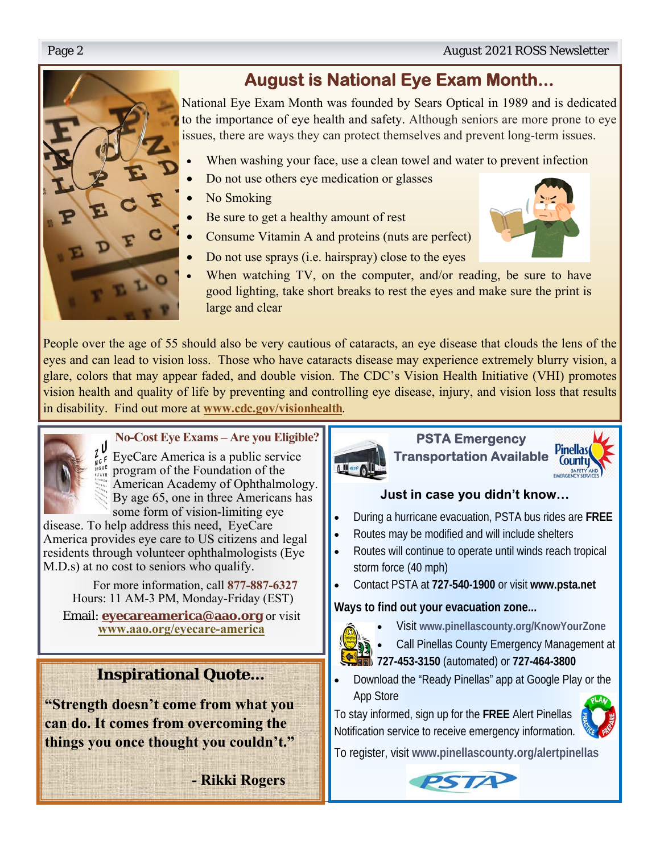

National Eye Exam Month was founded by Sears Optical in 1989 and is dedicated to the importance of eye health and safety. Although seniors are more prone to eye issues, there are ways they can protect themselves and prevent long-term issues.

- When washing your face, use a clean towel and water to prevent infection
- Do not use others eye medication or glasses
- No Smoking
- Be sure to get a healthy amount of rest
- Consume Vitamin A and proteins (nuts are perfect)
- Do not use sprays (i.e. hairspray) close to the eyes
- When watching TV, on the computer, and/or reading, be sure to have good lighting, take short breaks to rest the eyes and make sure the print is large and clear

People over the age of 55 should also be very cautious of cataracts, an eye disease that clouds the lens of the eyes and can lead to vision loss. Those who have cataracts disease may experience extremely blurry vision, a glare, colors that may appear faded, and double vision. The CDC's Vision Health Initiative (VHI) promotes vision health and quality of life by preventing and controlling eye disease, injury, and vision loss that results in disability. Find out more at **www.cdc.gov/visionhealth**.



## **No-Cost Eye Exams – Are you Eligible?**

EyeCare America is a public service program of the Foundation of the American Academy of Ophthalmology. By age 65, one in three Americans has some form of vision-limiting eye

disease. To help address this need, EyeCare America provides eye care to US citizens and legal residents through volunteer ophthalmologists (Eye M.D.s) at no cost to seniors who qualify.

 For more information, call **877-887-6327**  Hours: 11 AM-3 PM, Monday-Friday (EST)

Email: **eyecareamerica@aao.org** or visit **www.aao.org/eyecare-america**

## **Inspirational Quote…**

**"Strength doesn't come from what you can do. It comes from overcoming the things you once thought you couldn't."** 

 **- Rikki Rogers** 



**PSTA Emergency Transportation Available** 



## **Just in case you didn't know…**

- During a hurricane evacuation, PSTA bus rides are **FREE**
- Routes may be modified and will include shelters
- Routes will continue to operate until winds reach tropical storm force (40 mph)
- Contact PSTA at **727-540-1900** or visit **www.psta.net**

## **Ways to find out your evacuation zone...**

Visit **www.pinellascounty.org/KnowYourZone**



- Call Pinellas County Emergency Management at
- **727-453-3150** (automated) or **727-464-3800**
- Download the "Ready Pinellas" app at Google Play or the App Store

To stay informed, sign up for the **FREE** Alert Pinellas Notification service to receive emergency information.



To register, visit **www.pinellascounty.org/alertpinellas**